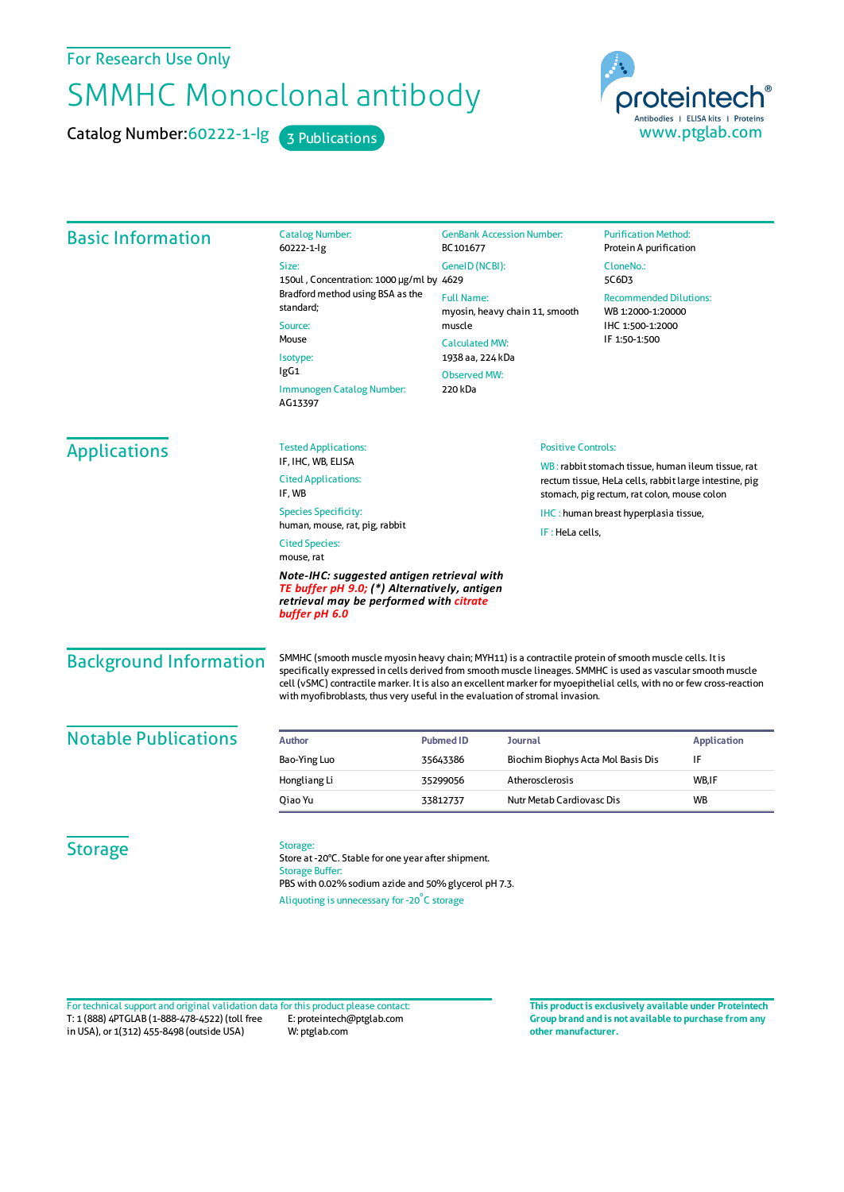For Research Use Only

## SMMHC Monoclonal antibody

Catalog Number: 60222-1-lg 3 Publications

proteintech Antibodies | ELISA kits | Proteins<br>WWW.ptglab.com

| <b>Basic Information</b>                                                                                                                                                                      | <b>Catalog Number:</b><br>60222-1-lg                                                                                                                                                             | <b>GenBank Accession Number:</b><br>BC101677<br>GeneID (NCBI):<br><b>Full Name:</b><br>myosin, heavy chain 11, smooth |                                                                                                                                                             | <b>Purification Method:</b><br>Protein A purification<br>CloneNo.:<br>5C6D3<br><b>Recommended Dilutions:</b><br>WB 1:2000-1:20000 |                                       |                                                                                                                                                                                                                                                                                                                                                                                                                                 |
|-----------------------------------------------------------------------------------------------------------------------------------------------------------------------------------------------|--------------------------------------------------------------------------------------------------------------------------------------------------------------------------------------------------|-----------------------------------------------------------------------------------------------------------------------|-------------------------------------------------------------------------------------------------------------------------------------------------------------|-----------------------------------------------------------------------------------------------------------------------------------|---------------------------------------|---------------------------------------------------------------------------------------------------------------------------------------------------------------------------------------------------------------------------------------------------------------------------------------------------------------------------------------------------------------------------------------------------------------------------------|
|                                                                                                                                                                                               | Size:                                                                                                                                                                                            |                                                                                                                       |                                                                                                                                                             |                                                                                                                                   |                                       |                                                                                                                                                                                                                                                                                                                                                                                                                                 |
|                                                                                                                                                                                               | 150ul, Concentration: 1000 µg/ml by 4629<br>Bradford method using BSA as the<br>standard:<br>Source:<br>Mouse<br>Isotype:<br>IgG1<br>Immunogen Catalog Number:<br>AG13397                        |                                                                                                                       |                                                                                                                                                             |                                                                                                                                   |                                       |                                                                                                                                                                                                                                                                                                                                                                                                                                 |
|                                                                                                                                                                                               |                                                                                                                                                                                                  |                                                                                                                       |                                                                                                                                                             |                                                                                                                                   |                                       | muscle                                                                                                                                                                                                                                                                                                                                                                                                                          |
|                                                                                                                                                                                               |                                                                                                                                                                                                  | <b>Calculated MW:</b>                                                                                                 |                                                                                                                                                             |                                                                                                                                   |                                       |                                                                                                                                                                                                                                                                                                                                                                                                                                 |
|                                                                                                                                                                                               |                                                                                                                                                                                                  | 1938 aa, 224 kDa<br><b>Observed MW:</b>                                                                               |                                                                                                                                                             |                                                                                                                                   |                                       |                                                                                                                                                                                                                                                                                                                                                                                                                                 |
|                                                                                                                                                                                               |                                                                                                                                                                                                  | 220 kDa                                                                                                               |                                                                                                                                                             |                                                                                                                                   |                                       |                                                                                                                                                                                                                                                                                                                                                                                                                                 |
|                                                                                                                                                                                               |                                                                                                                                                                                                  | <b>Applications</b>                                                                                                   | <b>Tested Applications:</b><br>IF, IHC, WB, ELISA                                                                                                           | <b>Positive Controls:</b>                                                                                                         |                                       |                                                                                                                                                                                                                                                                                                                                                                                                                                 |
| <b>Cited Applications:</b><br>IF, WB                                                                                                                                                          |                                                                                                                                                                                                  |                                                                                                                       | WB: rabbit stomach tissue, human ileum tissue, rat<br>rectum tissue, HeLa cells, rabbit large intestine, pig<br>stomach, pig rectum, rat colon, mouse colon |                                                                                                                                   |                                       |                                                                                                                                                                                                                                                                                                                                                                                                                                 |
| <b>Species Specificity:</b>                                                                                                                                                                   |                                                                                                                                                                                                  |                                                                                                                       |                                                                                                                                                             |                                                                                                                                   | IHC: human breast hyperplasia tissue, |                                                                                                                                                                                                                                                                                                                                                                                                                                 |
| human, mouse, rat, pig, rabbit                                                                                                                                                                |                                                                                                                                                                                                  |                                                                                                                       | IF: HeLa cells,                                                                                                                                             |                                                                                                                                   |                                       |                                                                                                                                                                                                                                                                                                                                                                                                                                 |
| <b>Cited Species:</b><br>mouse, rat<br>Note-IHC: suggested antigen retrieval with<br>TE buffer pH 9.0; (*) Alternatively, antigen<br>retrieval may be performed with citrate<br>buffer pH 6.0 |                                                                                                                                                                                                  |                                                                                                                       |                                                                                                                                                             |                                                                                                                                   |                                       |                                                                                                                                                                                                                                                                                                                                                                                                                                 |
|                                                                                                                                                                                               |                                                                                                                                                                                                  |                                                                                                                       |                                                                                                                                                             |                                                                                                                                   | <b>Background Information</b>         | SMMHC (smooth muscle myosin heavy chain; MYH11) is a contractile protein of smooth muscle cells. It is<br>specifically expressed in cells derived from smooth muscle lineages. SMMHC is used as vascular smooth muscle<br>cell (vSMC) contractile marker. It is also an excellent marker for myoepithelial cells, with no or few cross-reaction<br>with myofibroblasts, thus very useful in the evaluation of stromal invasion. |
| <b>Notable Publications</b>                                                                                                                                                                   | <b>Author</b>                                                                                                                                                                                    | <b>Pubmed ID</b><br><b>Journal</b>                                                                                    |                                                                                                                                                             |                                                                                                                                   | <b>Application</b>                    |                                                                                                                                                                                                                                                                                                                                                                                                                                 |
|                                                                                                                                                                                               | Bao-Ying Luo                                                                                                                                                                                     | 35643386                                                                                                              | Biochim Biophys Acta Mol Basis Dis                                                                                                                          |                                                                                                                                   | IF                                    |                                                                                                                                                                                                                                                                                                                                                                                                                                 |
|                                                                                                                                                                                               | Hongliang Li                                                                                                                                                                                     | 35299056                                                                                                              | Atherosclerosis                                                                                                                                             |                                                                                                                                   | WB,IF                                 |                                                                                                                                                                                                                                                                                                                                                                                                                                 |
|                                                                                                                                                                                               | Oiao Yu                                                                                                                                                                                          | 33812737                                                                                                              | Nutr Metab Cardiovasc Dis                                                                                                                                   |                                                                                                                                   | <b>WB</b>                             |                                                                                                                                                                                                                                                                                                                                                                                                                                 |
| <b>Storage</b>                                                                                                                                                                                | Storage:<br>Store at -20°C. Stable for one year after shipment.<br><b>Storage Buffer:</b><br>PBS with 0.02% sodium azide and 50% glycerol pH 7.3.<br>Aliquoting is unnecessary for -20°C storage |                                                                                                                       |                                                                                                                                                             |                                                                                                                                   |                                       |                                                                                                                                                                                                                                                                                                                                                                                                                                 |

T: 1 (888) 4PTGLAB (1-888-478-4522) (toll free in USA), or 1(312) 455-8498 (outside USA) E: proteintech@ptglab.com W: ptglab.com Fortechnical support and original validation data forthis product please contact: **This productis exclusively available under Proteintech**

**Group brand and is not available to purchase from any other manufacturer.**